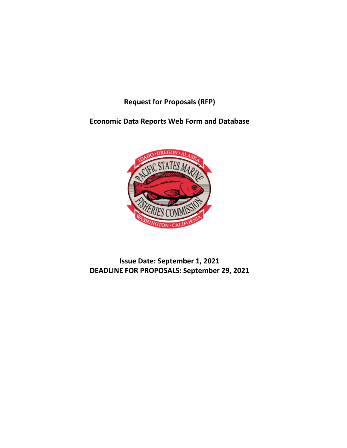**Request for Proposals (RFP)**

**Economic Data Reports Web Form and Database**



**Issue Date: September 1, 2021 DEADLINE FOR PROPOSALS: September 29, 2021**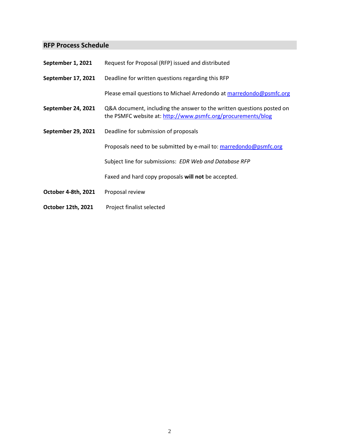# **RFP Process Schedule**

| September 1, 2021         | Request for Proposal (RFP) issued and distributed                                                                                     |
|---------------------------|---------------------------------------------------------------------------------------------------------------------------------------|
| September 17, 2021        | Deadline for written questions regarding this RFP                                                                                     |
|                           | Please email questions to Michael Arredondo at marredondo@psmfc.org                                                                   |
| September 24, 2021        | Q&A document, including the answer to the written questions posted on<br>the PSMFC website at: http://www.psmfc.org/procurements/blog |
| <b>September 29, 2021</b> | Deadline for submission of proposals                                                                                                  |
|                           | Proposals need to be submitted by e-mail to: marredondo@psmfc.org                                                                     |
|                           | Subject line for submissions: EDR Web and Database RFP                                                                                |
|                           | Faxed and hard copy proposals will not be accepted.                                                                                   |
| October 4-8th, 2021       | Proposal review                                                                                                                       |
| October 12th, 2021        | Project finalist selected                                                                                                             |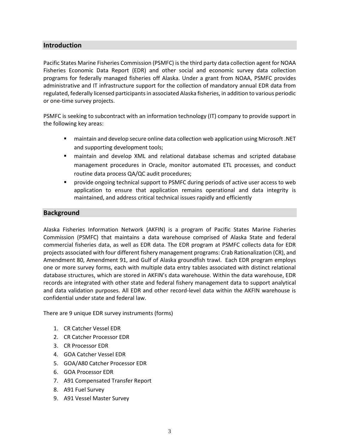# **Introduction**

Pacific States Marine Fisheries Commission (PSMFC) is the third party data collection agent for NOAA Fisheries Economic Data Report (EDR) and other social and economic survey data collection programs for federally managed fisheries off Alaska. Under a grant from NOAA, PSMFC provides administrative and IT infrastructure support for the collection of mandatory annual EDR data from regulated, federally licensed participants in associated Alaska fisheries, in addition to various periodic or one-time survey projects.

PSMFC is seeking to subcontract with an information technology (IT) company to provide support in the following key areas:

- maintain and develop secure online data collection web application using Microsoft .NET and supporting development tools;
- maintain and develop XML and relational database schemas and scripted database management procedures in Oracle, monitor automated ETL processes, and conduct routine data process QA/QC audit procedures;
- provide ongoing technical support to PSMFC during periods of active user access to web application to ensure that application remains operational and data integrity is maintained, and address critical technical issues rapidly and efficiently

## **Background**

Alaska Fisheries Information Network (AKFIN) is a program of Pacific States Marine Fisheries Commission (PSMFC) that maintains a data warehouse comprised of Alaska State and federal commercial fisheries data, as well as EDR data. The EDR program at PSMFC collects data for EDR projects associated with four different fishery management programs: Crab Rationalization (CR), and Amendment 80, Amendment 91, and Gulf of Alaska groundfish trawl. Each EDR program employs one or more survey forms, each with multiple data entry tables associated with distinct relational database structures, which are stored in AKFIN's data warehouse. Within the data warehouse, EDR records are integrated with other state and federal fishery management data to support analytical and data validation purposes. All EDR and other record-level data within the AKFIN warehouse is confidential under state and federal law.

There are 9 unique EDR survey instruments (forms)

- 1. CR Catcher Vessel EDR
- 2. CR Catcher Processor EDR
- 3. CR Processor EDR
- 4. GOA Catcher Vessel EDR
- 5. GOA/A80 Catcher Processor EDR
- 6. GOA Processor EDR
- 7. A91 Compensated Transfer Report
- 8. A91 Fuel Survey
- 9. A91 Vessel Master Survey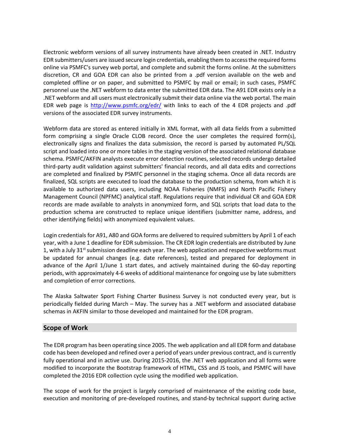Electronic webform versions of all survey instruments have already been created in .NET. Industry EDR submitters/users are issued secure login credentials, enabling them to access the required forms online via PSMFC's survey web portal, and complete and submit the forms online. At the submitters discretion, CR and GOA EDR can also be printed from a .pdf version available on the web and completed offline or on paper, and submitted to PSMFC by mail or email; in such cases, PSMFC personnel use the .NET webform to data enter the submitted EDR data. The A91 EDR exists only in a .NET webform and all users must electronically submit their data online via the web portal. The main EDR web page is <http://www.psmfc.org/edr/> with links to each of the 4 EDR projects and .pdf versions of the associated EDR survey instruments.

Webform data are stored as entered initially in XML format, with all data fields from a submitted form comprising a single Oracle CLOB record. Once the user completes the required form(s), electronically signs and finalizes the data submission, the record is parsed by automated PL/SQL script and loaded into one or more tables in the staging version of the associated relational database schema. PSMFC/AKFIN analysts execute error detection routines, selected records undergo detailed third-party audit validation against submitters' financial records, and all data edits and corrections are completed and finalized by PSMFC personnel in the staging schema. Once all data records are finalized, SQL scripts are executed to load the database to the production schema, from which it is available to authorized data users, including NOAA Fisheries (NMFS) and North Pacific Fishery Management Council (NPFMC) analytical staff. Regulations require that individual CR and GOA EDR records are made available to analysts in anonymized form, and SQL scripts that load data to the production schema are constructed to replace unique identifiers (submitter name, address, and other identifying fields) with anonymized equivalent values.

Login credentials for A91, A80 and GOA forms are delivered to required submitters by April 1 of each year, with a June 1 deadline for EDR submission. The CR EDR login credentials are distributed by June 1, with a July 31<sup>st</sup> submission deadline each year. The web application and respective webforms must be updated for annual changes (e.g. date references), tested and prepared for deployment in advance of the April 1/June 1 start dates, and actively maintained during the 60-day reporting periods, with approximately 4-6 weeks of additional maintenance for ongoing use by late submitters and completion of error corrections.

The Alaska Saltwater Sport Fishing Charter Business Survey is not conducted every year, but is periodically fielded during March – May. The survey has a .NET webform and associated database schemas in AKFIN similar to those developed and maintained for the EDR program.

## **Scope of Work**

The EDR program has been operating since 2005. The web application and all EDR form and database code has been developed and refined over a period of years under previous contract, and is currently fully operational and in active use. During 2015-2016, the .NET web application and all forms were modified to incorporate the Bootstrap framework of HTML, CSS and JS tools, and PSMFC will have completed the 2016 EDR collection cycle using the modified web application.

The scope of work for the project is largely comprised of maintenance of the existing code base, execution and monitoring of pre-developed routines, and stand-by technical support during active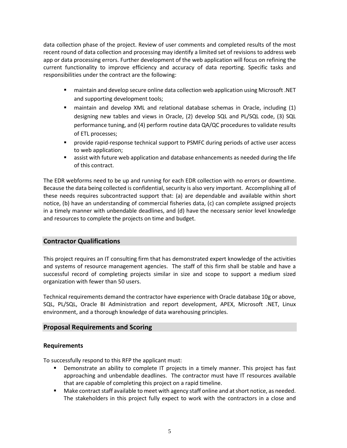data collection phase of the project. Review of user comments and completed results of the most recent round of data collection and processing may identify a limited set of revisions to address web app or data processing errors. Further development of the web application will focus on refining the current functionality to improve efficiency and accuracy of data reporting. Specific tasks and responsibilities under the contract are the following:

- maintain and develop secure online data collection web application using Microsoft .NET and supporting development tools;
- maintain and develop XML and relational database schemas in Oracle, including (1) designing new tables and views in Oracle, (2) develop SQL and PL/SQL code, (3) SQL performance tuning, and (4) perform routine data QA/QC procedures to validate results of ETL processes;
- provide rapid-response technical support to PSMFC during periods of active user access to web application;
- assist with future web application and database enhancements as needed during the life of this contract.

The EDR webforms need to be up and running for each EDR collection with no errors or downtime. Because the data being collected is confidential, security is also very important. Accomplishing all of these needs requires subcontracted support that: (a) are dependable and available within short notice, (b) have an understanding of commercial fisheries data, (c) can complete assigned projects in a timely manner with unbendable deadlines, and (d) have the necessary senior level knowledge and resources to complete the projects on time and budget.

# **Contractor Qualifications**

This project requires an IT consulting firm that has demonstrated expert knowledge of the activities and systems of resource management agencies. The staff of this firm shall be stable and have a successful record of completing projects similar in size and scope to support a medium sized organization with fewer than 50 users.

Technical requirements demand the contractor have experience with Oracle database 10g or above, SQL, PL/SQL, Oracle BI Administration and report development, APEX, Microsoft .NET, Linux environment, and a thorough knowledge of data warehousing principles.

## **Proposal Requirements and Scoring**

## **Requirements**

To successfully respond to this RFP the applicant must:

- Demonstrate an ability to complete IT projects in a timely manner. This project has fast approaching and unbendable deadlines. The contractor must have IT resources available that are capable of completing this project on a rapid timeline.
- Make contract staff available to meet with agency staff online and at short notice, as needed. The stakeholders in this project fully expect to work with the contractors in a close and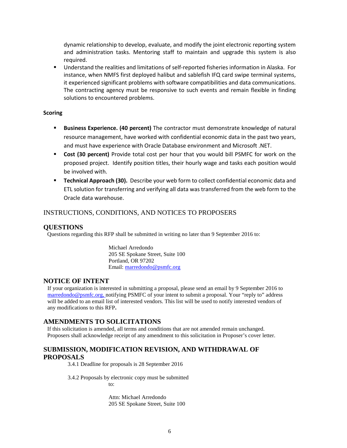dynamic relationship to develop, evaluate, and modify the joint electronic reporting system and administration tasks. Mentoring staff to maintain and upgrade this system is also required.

 Understand the realities and limitations of self-reported fisheries information in Alaska. For instance, when NMFS first deployed halibut and sablefish IFQ card swipe terminal systems, it experienced significant problems with software compatibilities and data communications. The contracting agency must be responsive to such events and remain flexible in finding solutions to encountered problems.

#### **Scoring**

- **Business Experience. (40 percent)** The contractor must demonstrate knowledge of natural resource management, have worked with confidential economic data in the past two years, and must have experience with Oracle Database environment and Microsoft .NET.
- **Cost (30 percent)** Provide total cost per hour that you would bill PSMFC for work on the proposed project. Identify position titles, their hourly wage and tasks each position would be involved with.
- **Technical Approach (30).** Describe your web form to collect confidential economic data and ETL solution for transferring and verifying all data was transferred from the web form to the Oracle data warehouse.

#### INSTRUCTIONS, CONDITIONS, AND NOTICES TO PROPOSERS

#### **QUESTIONS**

Questions regarding this RFP shall be submitted in writing no later than 9 September 2016 to:

Michael Arredondo 205 SE Spokane Street, Suite 100 Portland, OR 97202 Email[: marredondo@psmfc.org](mailto:marredondo@psmfc.org)

#### **NOTICE OF INTENT**

If your organization is interested in submitting a proposal, please send an email by 9 September 2016 to [marredondo@psmfc.org, n](mailto:marredondo@psmfc.org,)otifying PSMFC of your intent to submit a proposal. Your "reply to" address will be added to an email list of interested vendors. This list will be used to notify interested vendors of any modifications to this RFP**.** 

#### **AMENDMENTS TO SOLICITATIONS**

If this solicitation is amended, all terms and conditions that are not amended remain unchanged. Proposers shall acknowledge receipt of any amendment to this solicitation in Proposer's cover letter.

## **SUBMISSION, MODIFICATION REVISION, AND WITHDRAWAL OF PROPOSALS**

3.4.1 Deadline for proposals is 28 September 2016

3.4.2 Proposals by electronic copy must be submitted to:

> Attn: Michael Arredondo 205 SE Spokane Street, Suite 100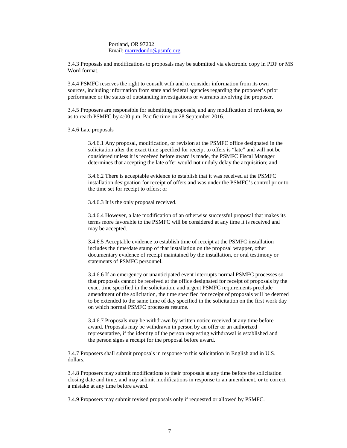#### Portland, OR 97202 Email[: marredondo@psmfc.org](mailto:marredondo@psmfc.org)

3.4.3 Proposals and modifications to proposals may be submitted via electronic copy in PDF or MS Word format.

3.4.4 PSMFC reserves the right to consult with and to consider information from its own sources, including information from state and federal agencies regarding the proposer's prior performance or the status of outstanding investigations or warrants involving the proposer.

3.4.5 Proposers are responsible for submitting proposals, and any modification of revisions, so as to reach PSMFC by 4:00 p.m. Pacific time on 28 September 2016.

3.4.6 Late proposals

3.4.6.1 Any proposal, modification, or revision at the PSMFC office designated in the solicitation after the exact time specified for receipt to offers is "late" and will not be considered unless it is received before award is made, the PSMFC Fiscal Manager determines that accepting the late offer would not unduly delay the acquisition; and

3.4.6.2 There is acceptable evidence to establish that it was received at the PSMFC installation designation for receipt of offers and was under the PSMFC's control prior to the time set for receipt to offers; or

3.4.6.3 It is the only proposal received.

3.4.6.4 However, a late modification of an otherwise successful proposal that makes its terms more favorable to the PSMFC will be considered at any time it is received and may be accepted.

3.4.6.5 Acceptable evidence to establish time of receipt at the PSMFC installation includes the time/date stamp of that installation on the proposal wrapper, other documentary evidence of receipt maintained by the installation, or oral testimony or statements of PSMFC personnel.

3.4.6.6 If an emergency or unanticipated event interrupts normal PSMFC processes so that proposals cannot be received at the office designated for receipt of proposals by the exact time specified in the solicitation, and urgent PSMFC requirements preclude amendment of the solicitation, the time specified for receipt of proposals will be deemed to be extended to the same time of day specified in the solicitation on the first work day on which normal PSMFC processes resume.

3.4.6.7 Proposals may be withdrawn by written notice received at any time before award. Proposals may be withdrawn in person by an offer or an authorized representative, if the identity of the person requesting withdrawal is established and the person signs a receipt for the proposal before award.

3.4.7 Proposers shall submit proposals in response to this solicitation in English and in U.S. dollars.

3.4.8 Proposers may submit modifications to their proposals at any time before the solicitation closing date and time, and may submit modifications in response to an amendment, or to correct a mistake at any time before award.

3.4.9 Proposers may submit revised proposals only if requested or allowed by PSMFC.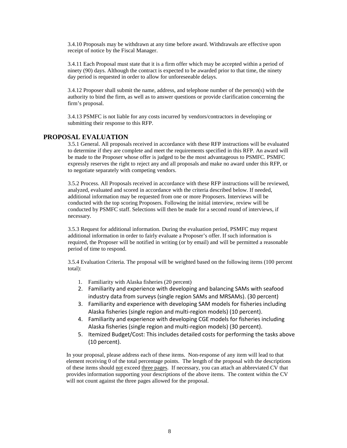3.4.10 Proposals may be withdrawn at any time before award. Withdrawals are effective upon receipt of notice by the Fiscal Manager.

3.4.11 Each Proposal must state that it is a firm offer which may be accepted within a period of ninety (90) days. Although the contract is expected to be awarded prior to that time, the ninety day period is requested in order to allow for unforeseeable delays.

3.4.12 Proposer shall submit the name, address, and telephone number of the person(s) with the authority to bind the firm, as well as to answer questions or provide clarification concerning the firm's proposal.

3.4.13 PSMFC is not liable for any costs incurred by vendors/contractors in developing or submitting their response to this RFP.

## **PROPOSAL EVALUATION**

3.5.1 General. All proposals received in accordance with these RFP instructions will be evaluated to determine if they are complete and meet the requirements specified in this RFP. An award will be made to the Proposer whose offer is judged to be the most advantageous to PSMFC. PSMFC expressly reserves the right to reject any and all proposals and make no award under this RFP, or to negotiate separately with competing vendors.

3.5.2 Process. All Proposals received in accordance with these RFP instructions will be reviewed, analyzed, evaluated and scored in accordance with the criteria described below. If needed, additional information may be requested from one or more Proposers. Interviews will be conducted with the top scoring Proposers. Following the initial interview, review will be conducted by PSMFC staff. Selections will then be made for a second round of interviews, if necessary.

3.5.3 Request for additional information. During the evaluation period, PSMFC may request additional information in order to fairly evaluate a Proposer's offer. If such information is required, the Proposer will be notified in writing (or by email) and will be permitted a reasonable period of time to respond.

3.5.4 Evaluation Criteria. The proposal will be weighted based on the following items (100 percent total):

- 1. Familiarity with Alaska fisheries (20 percent)
- 2. Familiarity and experience with developing and balancing SAMs with seafood industry data from surveys (single region SAMs and MRSAMs). (30 percent)
- 3. Familiarity and experience with developing SAM models for fisheries including Alaska fisheries (single region and multi-region models) (10 percent).
- 4. Familiarity and experience with developing CGE models for fisheries including Alaska fisheries (single region and multi-region models) (30 percent).
- 5. Itemized Budget/Cost: This includes detailed costs for performing the tasks above (10 percent).

In your proposal, please address each of these items. Non-response of any item will lead to that element receiving 0 of the total percentage points. The length of the proposal with the descriptions of these items should not exceed three pages. If necessary, you can attach an abbreviated CV that provides information supporting your descriptions of the above items. The content within the CV will not count against the three pages allowed for the proposal.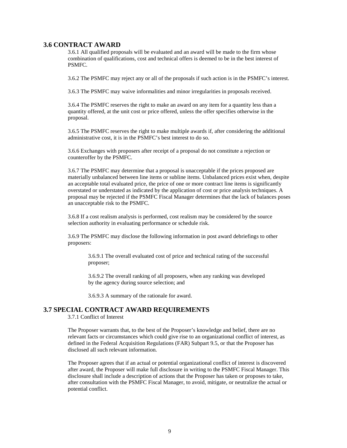#### **3.6 CONTRACT AWARD**

3.6.1 All qualified proposals will be evaluated and an award will be made to the firm whose combination of qualifications, cost and technical offers is deemed to be in the best interest of PSMFC.

3.6.2 The PSMFC may reject any or all of the proposals if such action is in the PSMFC's interest.

3.6.3 The PSMFC may waive informalities and minor irregularities in proposals received.

3.6.4 The PSMFC reserves the right to make an award on any item for a quantity less than a quantity offered, at the unit cost or price offered, unless the offer specifies otherwise in the proposal.

3.6.5 The PSMFC reserves the right to make multiple awards if, after considering the additional administrative cost, it is in the PSMFC's best interest to do so.

3.6.6 Exchanges with proposers after receipt of a proposal do not constitute a rejection or counteroffer by the PSMFC.

3.6.7 The PSMFC may determine that a proposal is unacceptable if the prices proposed are materially unbalanced between line items or subline items. Unbalanced prices exist when, despite an acceptable total evaluated price, the price of one or more contract line items is significantly overstated or understated as indicated by the application of cost or price analysis techniques. A proposal may be rejected if the PSMFC Fiscal Manager determines that the lack of balances poses an unacceptable risk to the PSMFC.

3.6.8 If a cost realism analysis is performed, cost realism may be considered by the source selection authority in evaluating performance or schedule risk.

3.6.9 The PSMFC may disclose the following information in post award debriefings to other proposers:

3.6.9.1 The overall evaluated cost of price and technical rating of the successful proposer;

3.6.9.2 The overall ranking of all proposers, when any ranking was developed by the agency during source selection; and

3.6.9.3 A summary of the rationale for award.

## **3.7 SPECIAL CONTRACT AWARD REQUIREMENTS**

3.7.1 Conflict of Interest

The Proposer warrants that, to the best of the Proposer's knowledge and belief, there are no relevant facts or circumstances which could give rise to an organizational conflict of interest, as defined in the Federal Acquisition Regulations (FAR) Subpart 9.5, or that the Proposer has disclosed all such relevant information.

The Proposer agrees that if an actual or potential organizational conflict of interest is discovered after award, the Proposer will make full disclosure in writing to the PSMFC Fiscal Manager. This disclosure shall include a description of actions that the Proposer has taken or proposes to take, after consultation with the PSMFC Fiscal Manager, to avoid, mitigate, or neutralize the actual or potential conflict.